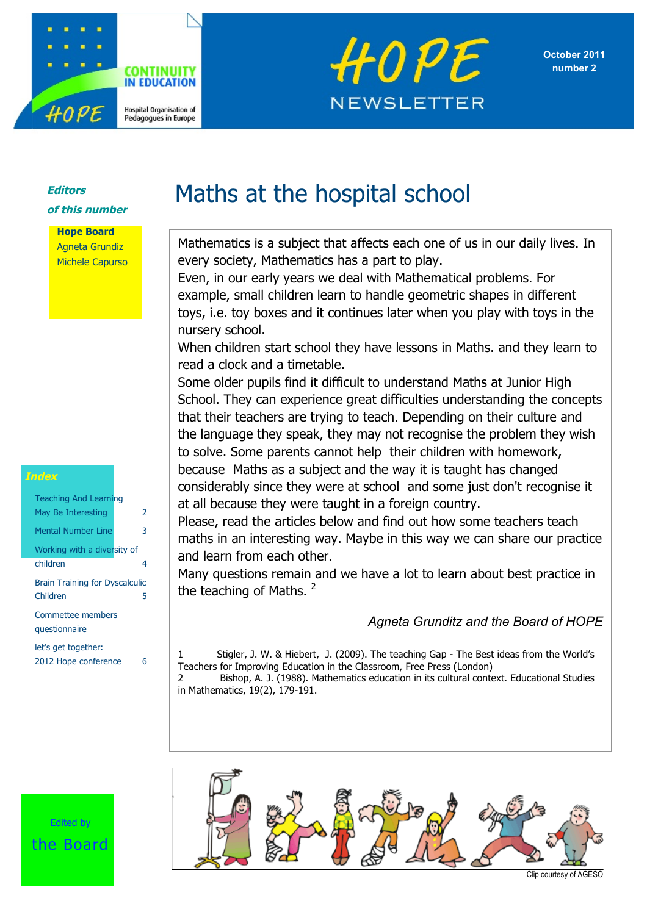





#### **Editors of this number**

**Hope Board** Agneta Grundiz Michele Capurso

| <b>Teaching And Learning</b><br>May Be Interesting | 2 |
|----------------------------------------------------|---|
| Mental Number Line                                 | 3 |
| Working with a diversity of                        |   |
| children                                           | 4 |
| <b>Brain Training for Dyscalculic</b><br>Children  | 5 |
| Commettee members<br>questionnaire                 |   |
| let's get together:<br>2012 Hope conference        | ĥ |

# Maths at the hospital school

Mathematics is a subject that affects each one of us in our daily lives. In every society, Mathematics has a part to play.

Even, in our early years we deal with Mathematical problems. For example, small children learn to handle geometric shapes in different toys, i.e. toy boxes and it continues later when you play with toys in the nursery school.

When children start school they have lessons in Maths. and they learn to read a clock and a timetable.

Some older pupils find it difficult to understand Maths at Junior High School. They can experience great difficulties understanding the concepts that their teachers are trying to teach. Depending on their culture and the language they speak, they may not recognise the problem they wish to solve. Some parents cannot help their children with homework,

because Maths as a subject and the way it is taught has changed considerably since they were at school and some just don't recognise it at all because they were taught in a foreign country.

Please, read the articles below and find out how some teachers teach maths in an interesting way. Maybe in this way we can share our practice and learn from each other.

Many questions remain and we have a lot to learn about best practice in the teaching of Maths.  $2$ 

#### *Agneta Grunditz and the Board of HOPE*

Stigler, J. W. & Hiebert, J. (2009). The teaching Gap - The Best ideas from the World's Teachers for Improving Education in the Classroom, Free Press (London) 2 Bishop, A. J. (1988). Mathematics education in its cultural context. Educational Studies in Mathematics, 19(2), 179-191.

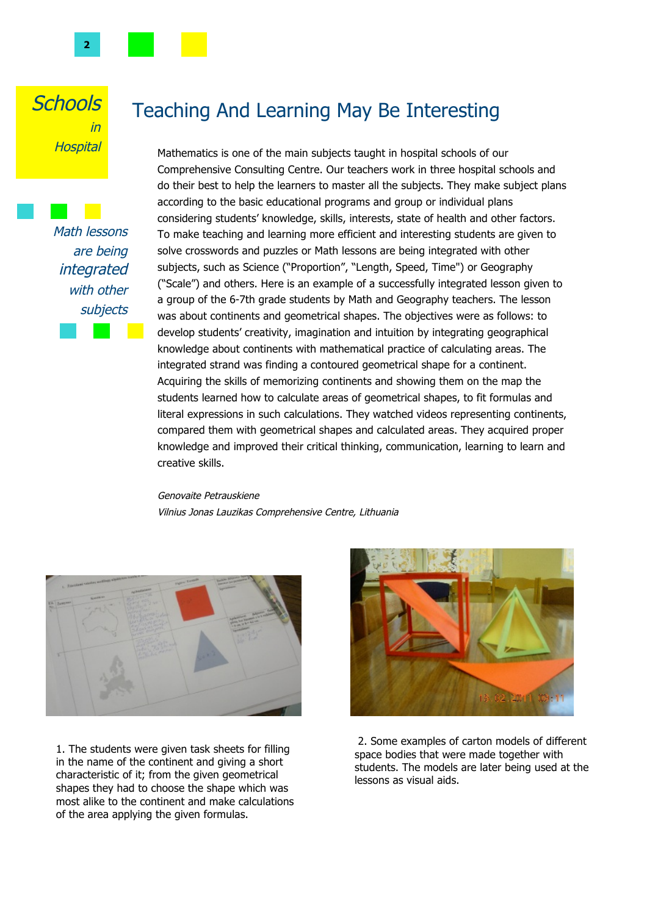

Math lessons are being integrated with other subjects

# Teaching And Learning May Be Interesting

Mathematics is one of the main subjects taught in hospital schools of our Comprehensive Consulting Centre. Our teachers work in three hospital schools and do their best to help the learners to master all the subjects. They make subject plans according to the basic educational programs and group or individual plans considering students' knowledge, skills, interests, state of health and other factors. To make teaching and learning more efficient and interesting students are given to solve crosswords and puzzles or Math lessons are being integrated with other subjects, such as Science ("Proportion", "Length, Speed, Time") or Geography ("Scale") and others. Here is an example of a successfully integrated lesson given to a group of the 6-7th grade students by Math and Geography teachers. The lesson was about continents and geometrical shapes. The objectives were as follows: to develop students' creativity, imagination and intuition by integrating geographical knowledge about continents with mathematical practice of calculating areas. The integrated strand was finding a contoured geometrical shape for a continent. Acquiring the skills of memorizing continents and showing them on the map the students learned how to calculate areas of geometrical shapes, to fit formulas and literal expressions in such calculations. They watched videos representing continents, compared them with geometrical shapes and calculated areas. They acquired proper knowledge and improved their critical thinking, communication, learning to learn and creative skills.

#### Genovaite Petrauskiene Vilnius Jonas Lauzikas Comprehensive Centre, Lithuania



1. The students were given task sheets for filling in the name of the continent and giving a short characteristic of it; from the given geometrical shapes they had to choose the shape which was most alike to the continent and make calculations of the area applying the given formulas.



 2. Some examples of carton models of different space bodies that were made together with students. The models are later being used at the lessons as visual aids.

**2**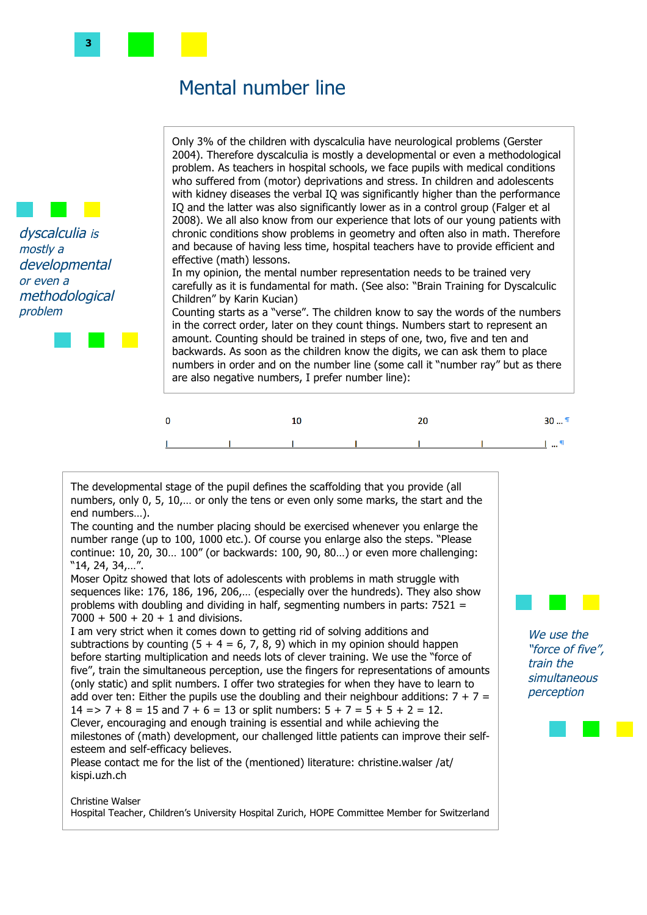### Mental number line

Only 3% of the children with dyscalculia have neurological problems (Gerster 2004). Therefore dyscalculia is mostly a developmental or even a methodological problem. As teachers in hospital schools, we face pupils with medical conditions who suffered from (motor) deprivations and stress. In children and adolescents with kidney diseases the verbal IQ was significantly higher than the performance IQ and the latter was also significantly lower as in a control group (Falger et al 2008). We all also know from our experience that lots of our young patients with chronic conditions show problems in geometry and often also in math. Therefore and because of having less time, hospital teachers have to provide efficient and effective (math) lessons.

In my opinion, the mental number representation needs to be trained very carefully as it is fundamental for math. (See also: "Brain Training for Dyscalculic Children" by Karin Kucian)

Counting starts as a "verse". The children know to say the words of the numbers in the correct order, later on they count things. Numbers start to represent an amount. Counting should be trained in steps of one, two, five and ten and backwards. As soon as the children know the digits, we can ask them to place numbers in order and on the number line (some call it "number ray" but as there are also negative numbers, I prefer number line):



The developmental stage of the pupil defines the scaffolding that you provide (all numbers, only 0, 5, 10,… or only the tens or even only some marks, the start and the end numbers…).

The counting and the number placing should be exercised whenever you enlarge the number range (up to 100, 1000 etc.). Of course you enlarge also the steps. "Please continue: 10, 20, 30… 100" (or backwards: 100, 90, 80…) or even more challenging: "14, 24, 34,…".

Moser Opitz showed that lots of adolescents with problems in math struggle with sequences like: 176, 186, 196, 206,… (especially over the hundreds). They also show problems with doubling and dividing in half, segmenting numbers in parts: 7521 =  $7000 + 500 + 20 + 1$  and divisions.

I am very strict when it comes down to getting rid of solving additions and subtractions by counting  $(5 + 4 = 6, 7, 8, 9)$  which in my opinion should happen before starting multiplication and needs lots of clever training. We use the "force of five", train the simultaneous perception, use the fingers for representations of amounts (only static) and split numbers. I offer two strategies for when they have to learn to add over ten: Either the pupils use the doubling and their neighbour additions:  $7 + 7 =$  $14 = > 7 + 8 = 15$  and  $7 + 6 = 13$  or split numbers:  $5 + 7 = 5 + 5 + 2 = 12$ . Clever, encouraging and enough training is essential and while achieving the milestones of (math) development, our challenged little patients can improve their selfesteem and self-efficacy believes.

Please contact me for the list of the (mentioned) literature: christine.walser /at/ kispi.uzh.ch

#### Christine Walser Hospital Teacher, Children's University Hospital Zurich, HOPE Committee Member for Switzerland

We use the "force of five", train the **simultaneous** perception



problem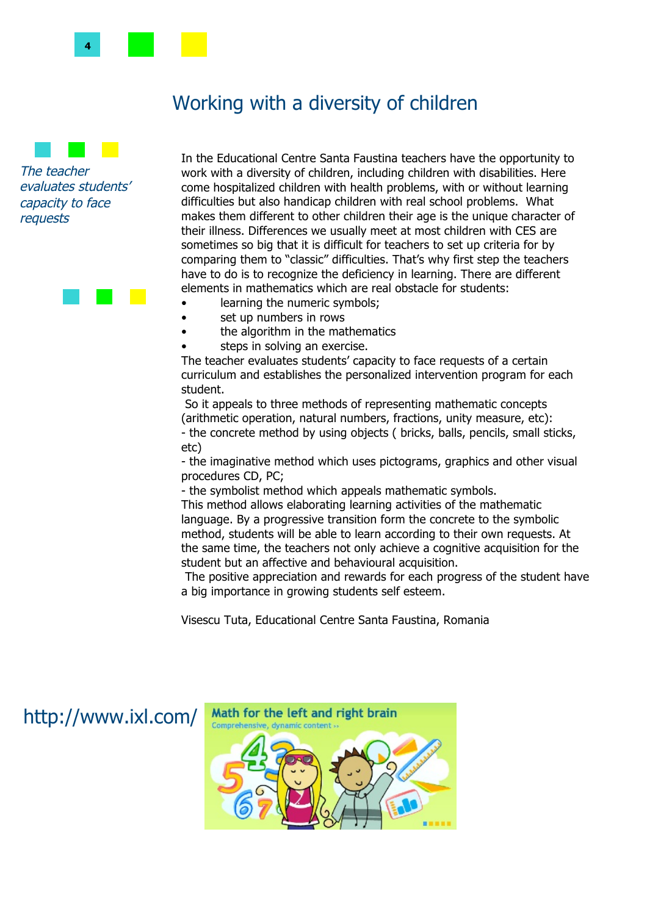

# Working with a diversity of children

The teacher evaluates students' capacity to face requests

In the Educational Centre Santa Faustina teachers have the opportunity to work with a diversity of children, including children with disabilities. Here come hospitalized children with health problems, with or without learning difficulties but also handicap children with real school problems. What makes them different to other children their age is the unique character of their illness. Differences we usually meet at most children with CES are sometimes so big that it is difficult for teachers to set up criteria for by comparing them to "classic" difficulties. That's why first step the teachers have to do is to recognize the deficiency in learning. There are different elements in mathematics which are real obstacle for students:

- learning the numeric symbols;
- set up numbers in rows
- the algorithm in the mathematics
- steps in solving an exercise.

The teacher evaluates students' capacity to face requests of a certain curriculum and establishes the personalized intervention program for each student.

 So it appeals to three methods of representing mathematic concepts (arithmetic operation, natural numbers, fractions, unity measure, etc): - the concrete method by using objects ( bricks, balls, pencils, small sticks, etc)

- the imaginative method which uses pictograms, graphics and other visual procedures CD, PC;

- the symbolist method which appeals mathematic symbols.

This method allows elaborating learning activities of the mathematic language. By a progressive transition form the concrete to the symbolic method, students will be able to learn according to their own requests. At the same time, the teachers not only achieve a cognitive acquisition for the student but an affective and behavioural acquisition.

 The positive appreciation and rewards for each progress of the student have a big importance in growing students self esteem.

Visescu Tuta, Educational Centre Santa Faustina, Romania

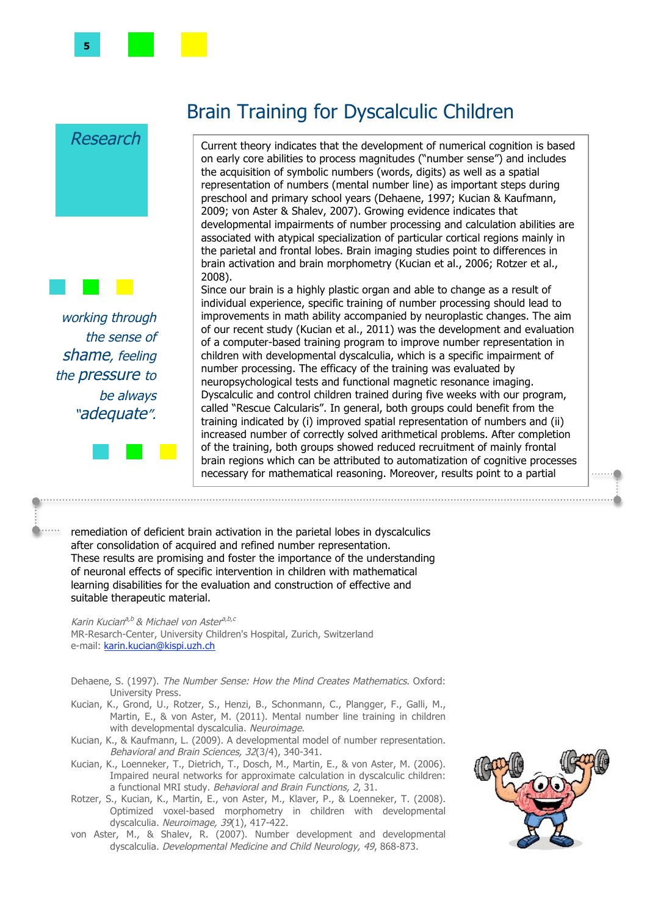

the sense of shame, feeling the **pressure** to be always "adequate".

# Brain Training for Dyscalculic Children

Current theory indicates that the development of numerical cognition is based on early core abilities to process magnitudes ("number sense") and includes the acquisition of symbolic numbers (words, digits) as well as a spatial representation of numbers (mental number line) as important steps during preschool and primary school years (Dehaene, 1997; Kucian & Kaufmann, 2009; von Aster & Shalev, 2007). Growing evidence indicates that developmental impairments of number processing and calculation abilities are associated with atypical specialization of particular cortical regions mainly in the parietal and frontal lobes. Brain imaging studies point to differences in brain activation and brain morphometry (Kucian et al., 2006; Rotzer et al., 2008).

Since our brain is a highly plastic organ and able to change as a result of individual experience, specific training of number processing should lead to improvements in math ability accompanied by neuroplastic changes. The aim of our recent study (Kucian et al., 2011) was the development and evaluation of a computer-based training program to improve number representation in children with developmental dyscalculia, which is a specific impairment of number processing. The efficacy of the training was evaluated by neuropsychological tests and functional magnetic resonance imaging. Dyscalculic and control children trained during five weeks with our program, called "Rescue Calcularis". In general, both groups could benefit from the training indicated by (i) improved spatial representation of numbers and (ii) increased number of correctly solved arithmetical problems. After completion of the training, both groups showed reduced recruitment of mainly frontal brain regions which can be attributed to automatization of cognitive processes necessary for mathematical reasoning. Moreover, results point to a partial

remediation of deficient brain activation in the parietal lobes in dyscalculics after consolidation of acquired and refined number representation. These results are promising and foster the importance of the understanding of neuronal effects of specific intervention in children with mathematical learning disabilities for the evaluation and construction of effective and suitable therapeutic material.

Karin Kucian<sup>a,b</sup> & Michael von Aster<sup>a,b,c</sup> MR-Resarch-Center, University Children's Hospital, Zurich, Switzerland e-mail: karin.kucian@kispi.uzh.ch

- Dehaene, S. (1997). The Number Sense: How the Mind Creates Mathematics. Oxford: University Press.
- Kucian, K., Grond, U., Rotzer, S., Henzi, B., Schonmann, C., Plangger, F., Galli, M., Martin, E., & von Aster, M. (2011). Mental number line training in children with developmental dyscalculia. Neuroimage.
- Kucian, K., & Kaufmann, L. (2009). A developmental model of number representation. Behavioral and Brain Sciences, 32(3/4), 340-341.
- Kucian, K., Loenneker, T., Dietrich, T., Dosch, M., Martin, E., & von Aster, M. (2006). Impaired neural networks for approximate calculation in dyscalculic children: a functional MRI study. Behavioral and Brain Functions, 2, 31.
- Rotzer, S., Kucian, K., Martin, E., von Aster, M., Klaver, P., & Loenneker, T. (2008). Optimized voxel-based morphometry in children with developmental dyscalculia. Neuroimage, 39(1), 417-422.
- von Aster, M., & Shalev, R. (2007). Number development and developmental dyscalculia. Developmental Medicine and Child Neurology, 49, 868-873.